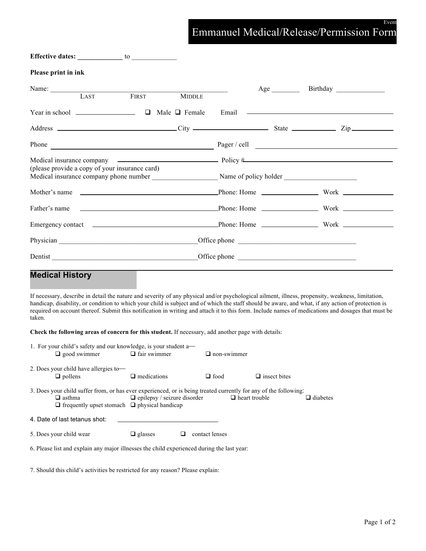## Event Emmanuel Medical/Release/Permission Form

| Effective dates: to the contract of the contract of the contract of the contract of the contract of the contract of the contract of the contract of the contract of the contract of the contract of the contract of the contra           |                 |
|------------------------------------------------------------------------------------------------------------------------------------------------------------------------------------------------------------------------------------------|-----------------|
| Please print in ink                                                                                                                                                                                                                      |                 |
| Name: LAST<br>FIRST<br>T<br><b>MIDDLE</b>                                                                                                                                                                                                | Birthday<br>Age |
|                                                                                                                                                                                                                                          |                 |
|                                                                                                                                                                                                                                          |                 |
|                                                                                                                                                                                                                                          |                 |
| (please provide a copy of your insurance card)                                                                                                                                                                                           |                 |
|                                                                                                                                                                                                                                          |                 |
|                                                                                                                                                                                                                                          |                 |
| Emergency contact <u>examens and the phone</u> Phone: Home <b>Emergency Contact 1</b> and 2007 and 2008 and 2008 and 2008 and 2008 and 2008 and 2008 and 2008 and 2008 and 2008 and 2008 and 2008 and 2008 and 2008 and 2008 and 2008 an |                 |
|                                                                                                                                                                                                                                          |                 |
| Dentist enter the contract of the contract of the contract of the contract of the contract of the contract of the contract of the contract of the contract of the contract of the contract of the contract of the contract of            |                 |

# **Medical History**

If necessary, describe in detail the nature and severity of any physical and/or psychological ailment, illness, propensity, weakness, limitation, handicap, disability, or condition to which your child is subject and of which the staff should be aware, and what, if any action of protection is required on account thereof. Submit this notification in writing and attach it to this form. Include names of medications and dosages that must be taken.

**Check the following areas of concern for this student.** If necessary, add another page with details:

| 1. For your child's safety and our knowledge, is your student $a$ —<br>$\Box$ good swimmer                                                                                                    | $\Box$ fair swimmer                | $\Box$ non-swimmer   |                     |                 |
|-----------------------------------------------------------------------------------------------------------------------------------------------------------------------------------------------|------------------------------------|----------------------|---------------------|-----------------|
| 2. Does your child have allergies to-<br>$\Box$ pollens                                                                                                                                       | $\Box$ medications                 | $\Box$ food          | $\Box$ insect bites |                 |
| 3. Does your child suffer from, or has ever experienced, or is being treated currently for any of the following:<br>$\Box$ asthma<br>$\Box$ frequently upset stomach $\Box$ physical handicap | $\Box$ epilepsy / seizure disorder | $\Box$ heart trouble |                     | $\Box$ diabetes |
| 4. Date of last tetanus shot:                                                                                                                                                                 |                                    |                      |                     |                 |
| 5. Does your child wear                                                                                                                                                                       | $\Box$ glasses                     | contact lenses       |                     |                 |
| 6. Please list and explain any major illnesses the child experienced during the last year:                                                                                                    |                                    |                      |                     |                 |

7. Should this child's activities be restricted for any reason? Please explain: